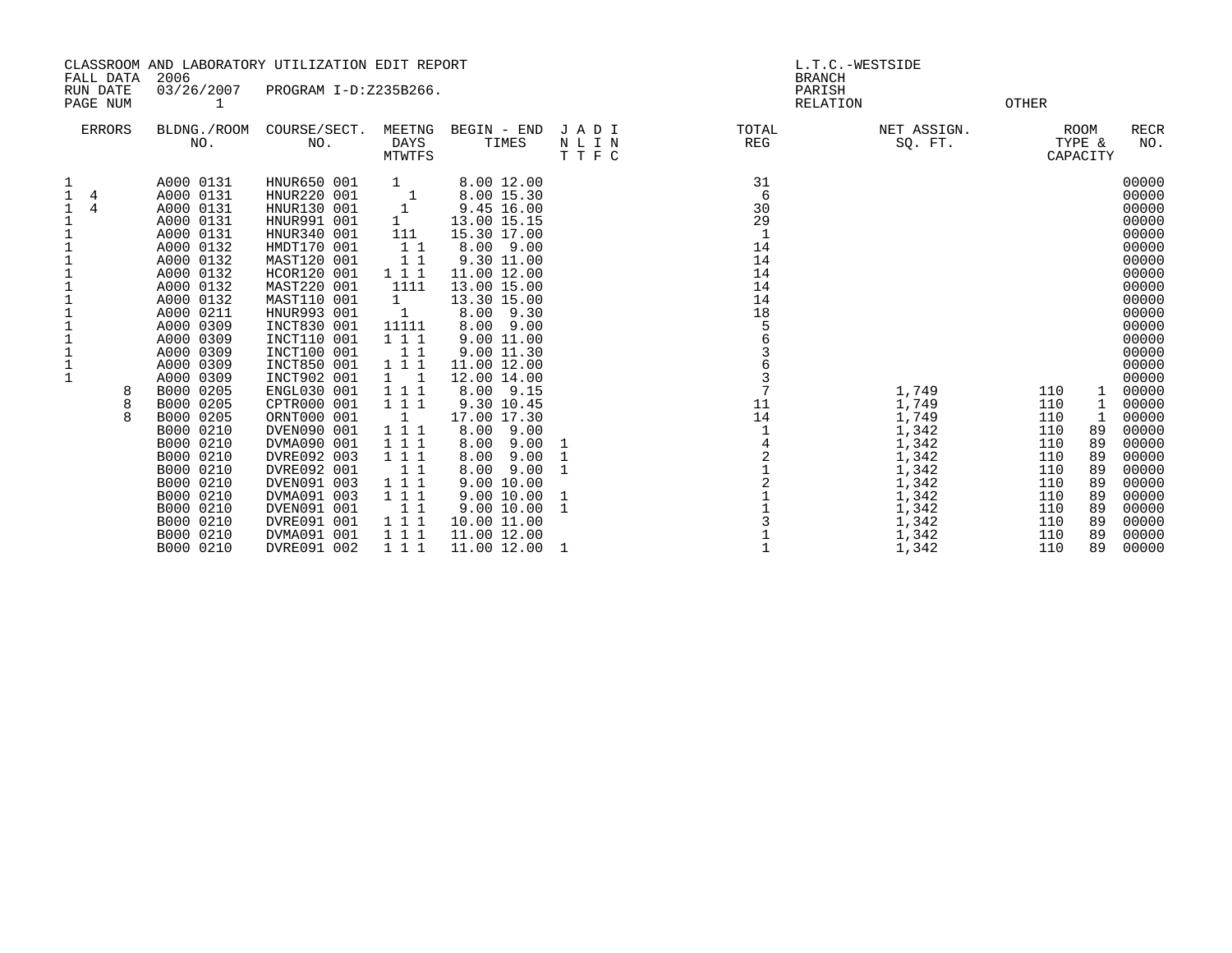| CLASSROOM AND LABORATORY UTILIZATION EDIT REPORT<br>2006<br>FALL DATA                                                                                               |                                                                                                                                                                                                                                                                                                                                                                                       |                                                                                                                                                                                                                                                                                                                                                                                                                                                 |                                                                                                                                                                                                                                                                             | L.T.C.-WESTSIDE<br><b>BRANCH</b>                                                                                                                                                                                                                                                                                                                                                                                                |                      |                                                                                                                                                           |                                                                                                                   |                                                                                         |                                                                    |                                                                                                                                                                                                                                                                   |
|---------------------------------------------------------------------------------------------------------------------------------------------------------------------|---------------------------------------------------------------------------------------------------------------------------------------------------------------------------------------------------------------------------------------------------------------------------------------------------------------------------------------------------------------------------------------|-------------------------------------------------------------------------------------------------------------------------------------------------------------------------------------------------------------------------------------------------------------------------------------------------------------------------------------------------------------------------------------------------------------------------------------------------|-----------------------------------------------------------------------------------------------------------------------------------------------------------------------------------------------------------------------------------------------------------------------------|---------------------------------------------------------------------------------------------------------------------------------------------------------------------------------------------------------------------------------------------------------------------------------------------------------------------------------------------------------------------------------------------------------------------------------|----------------------|-----------------------------------------------------------------------------------------------------------------------------------------------------------|-------------------------------------------------------------------------------------------------------------------|-----------------------------------------------------------------------------------------|--------------------------------------------------------------------|-------------------------------------------------------------------------------------------------------------------------------------------------------------------------------------------------------------------------------------------------------------------|
| RUN DATE<br>PAGE NUM                                                                                                                                                | 03/26/2007                                                                                                                                                                                                                                                                                                                                                                            | PROGRAM I-D:Z235B266.                                                                                                                                                                                                                                                                                                                                                                                                                           |                                                                                                                                                                                                                                                                             |                                                                                                                                                                                                                                                                                                                                                                                                                                 |                      | PARISH                                                                                                                                                    | <b>RELATION</b>                                                                                                   | OTHER                                                                                   |                                                                    |                                                                                                                                                                                                                                                                   |
| <b>ERRORS</b>                                                                                                                                                       | BLDNG./ROOM<br>NO.                                                                                                                                                                                                                                                                                                                                                                    | COURSE/SECT.<br>NO.                                                                                                                                                                                                                                                                                                                                                                                                                             | MEETNG<br>DAYS<br><b>MTWTFS</b>                                                                                                                                                                                                                                             | BEGIN - END<br>TIMES                                                                                                                                                                                                                                                                                                                                                                                                            | JADI<br>NLIN<br>TTFC | TOTAL<br>REG                                                                                                                                              | NET ASSIGN.<br>SO. FT.                                                                                            |                                                                                         | ROOM<br>TYPE &<br>CAPACITY                                         | <b>RECR</b><br>NO.                                                                                                                                                                                                                                                |
| 1<br>$\mathbf{1}$<br>4<br>1<br>4<br>$1\,$<br>$\mathbf{1}$<br>$\mathbf{1}$<br>$1\,$<br>$\mathbf 1$<br>$\begin{array}{c} 1 \\ 1 \\ 1 \\ 1 \end{array}$<br>8<br>8<br>8 | A000 0131<br>A000 0131<br>A000 0131<br>A000 0131<br>A000 0131<br>A000 0132<br>A000 0132<br>A000 0132<br>A000 0132<br>A000 0132<br>A000 0211<br>A000 0309<br>A000 0309<br>A000 0309<br>A000 0309<br>A000 0309<br>B000 0205<br>B000 0205<br>B000 0205<br>B000 0210<br>B000 0210<br>B000 0210<br>B000 0210<br>B000 0210<br>B000 0210<br>B000 0210<br>B000 0210<br>B000 0210<br>B000 0210 | HNUR650 001<br>HNUR220 001<br>HNUR130 001<br>HNUR991 001<br>HNUR340 001<br>HMDT170 001<br>MAST120 001<br>HCOR120 001<br>MAST220 001<br>MAST110 001<br>HNUR993 001<br>INCT830 001<br>INCT110 001<br>INCT100 001<br>INCT850 001<br>INCT902 001<br>ENGL030 001<br>CPTR000 001<br>ORNT000 001<br>DVEN090 001<br>DVMA090 001<br>DVRE092 003<br>DVRE092 001<br>DVEN091 003<br>DVMA091 003<br>DVEN091 001<br>DVRE091 001<br>DVMA091 001<br>DVRE091 002 | 1<br>$\overline{\phantom{0}}$<br>$\mathbf{1}$<br>1<br>111<br>11<br>11<br>1 1 1<br>1111<br>1<br>1<br>11111<br>1 1 1<br>1 1<br>1 1 1<br>$1 \quad 1$<br>1 1 1<br>111<br>$\mathbf{1}$<br>1 1 1<br>111<br>111<br>$1\quad1$<br>1 1 1<br>111<br>$1\quad1$<br>1 1 1<br>111<br>1 1 1 | 8.00 12.00<br>8.00 15.30<br>$9.45$ 16.00<br>13.00 15.15<br>15.30 17.00<br>8.00 9.00<br>9.30 11.00<br>11.00 12.00<br>13.00 15.00<br>13.30 15.00<br>8.00 9.30<br>8.00 9.00<br>9.00 11.00<br>9.00 11.30<br>11.00 12.00<br>12.00 14.00<br>8.00 9.15<br>9.30 10.45<br>17.00 17.30<br>8.00 9.00<br>8.00<br>9.00<br>8.00<br>9.00<br>8.00<br>9.00<br>9.00 10.00<br>9.00 10.00<br>9.0010.00<br>10.00 11.00<br>11.00 12.00<br>11.00 12.00 | 1                    | 31<br>6<br>30<br>29<br>1<br>14<br>14<br>14<br>14<br>14<br>18<br>5<br>$\begin{array}{c} 6 \\ 3 \\ 7 \end{array}$<br>11<br>14<br>$142121$<br>$1131$<br>$11$ | 1,749<br>1,749<br>1,749<br>1,342<br>1,342<br>1,342<br>1,342<br>1,342<br>1,342<br>1,342<br>1,342<br>1,342<br>1,342 | 110<br>110<br>110<br>110<br>110<br>110<br>110<br>110<br>110<br>110<br>110<br>110<br>110 | 1<br>1<br>89<br>89<br>89<br>89<br>89<br>89<br>89<br>89<br>89<br>89 | 00000<br>00000<br>00000<br>00000<br>00000<br>00000<br>00000<br>00000<br>00000<br>00000<br>00000<br>00000<br>00000<br>00000<br>00000<br>00000<br>00000<br>00000<br>00000<br>00000<br>00000<br>00000<br>00000<br>00000<br>00000<br>00000<br>00000<br>00000<br>00000 |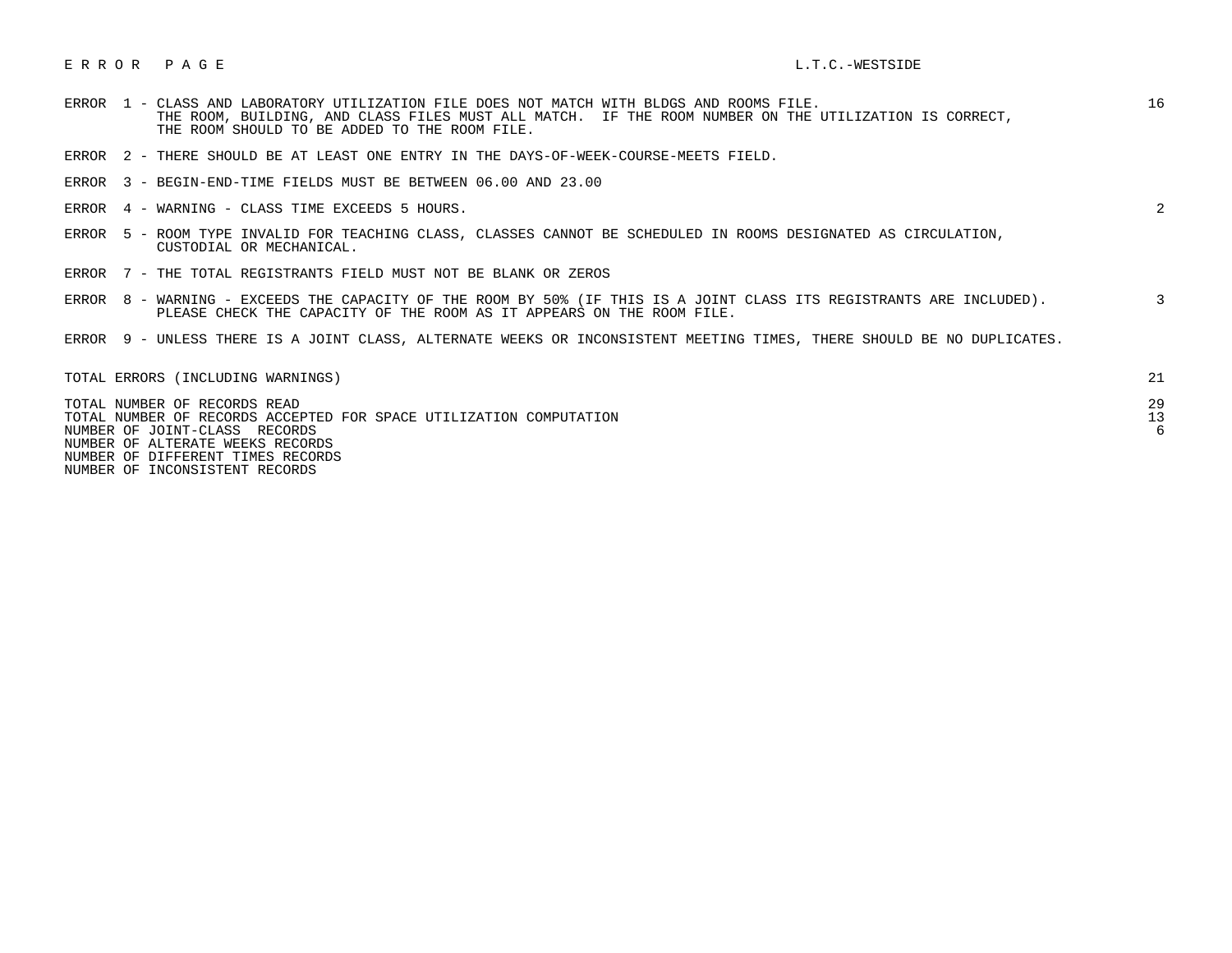## E R R O R P A G E L.T.C.-WESTSIDE

| ERROR | 1 - CLASS AND LABORATORY UTILIZATION FILE DOES NOT MATCH WITH BLDGS AND ROOMS FILE.<br>THE ROOM, BUILDING, AND CLASS FILES MUST ALL MATCH. IF THE ROOM NUMBER ON THE UTILIZATION IS CORRECT,<br>THE ROOM SHOULD TO BE ADDED TO THE ROOM FILE. | 16            |
|-------|-----------------------------------------------------------------------------------------------------------------------------------------------------------------------------------------------------------------------------------------------|---------------|
| ERROR | 2 - THERE SHOULD BE AT LEAST ONE ENTRY IN THE DAYS-OF-WEEK-COURSE-MEETS FIELD.                                                                                                                                                                |               |
| ERROR | 3 - BEGIN-END-TIME FIELDS MUST BE BETWEEN 06.00 AND 23.00                                                                                                                                                                                     |               |
| ERROR | 4 - WARNING - CLASS TIME EXCEEDS 5 HOURS.                                                                                                                                                                                                     | 2             |
| ERROR | 5 - ROOM TYPE INVALID FOR TEACHING CLASS, CLASSES CANNOT BE SCHEDULED IN ROOMS DESIGNATED AS CIRCULATION,<br>CUSTODIAL OR MECHANICAL.                                                                                                         |               |
| ERROR | 7 - THE TOTAL REGISTRANTS FIELD MUST NOT BE BLANK OR ZEROS                                                                                                                                                                                    |               |
| ERROR | 8 - WARNING - EXCEEDS THE CAPACITY OF THE ROOM BY 50% (IF THIS IS A JOINT CLASS ITS REGISTRANTS ARE INCLUDED).<br>PLEASE CHECK THE CAPACITY OF THE ROOM AS IT APPEARS ON THE ROOM FILE.                                                       | 3             |
|       | ERROR 9 - UNLESS THERE IS A JOINT CLASS, ALTERNATE WEEKS OR INCONSISTENT MEETING TIMES, THERE SHOULD BE NO DUPLICATES.                                                                                                                        |               |
|       | TOTAL ERRORS (INCLUDING WARNINGS)                                                                                                                                                                                                             | 21            |
|       | TOTAL NUMBER OF RECORDS READ<br>TOTAL NUMBER OF RECORDS ACCEPTED FOR SPACE UTILIZATION COMPUTATION<br>NUMBER OF JOINT-CLASS RECORDS<br>NUMBER OF ALTERATE WEEKS RECORDS                                                                       | 29<br>13<br>6 |

NUMBER OF DIFFERENT TIMES RECORDS

NUMBER OF INCONSISTENT RECORDS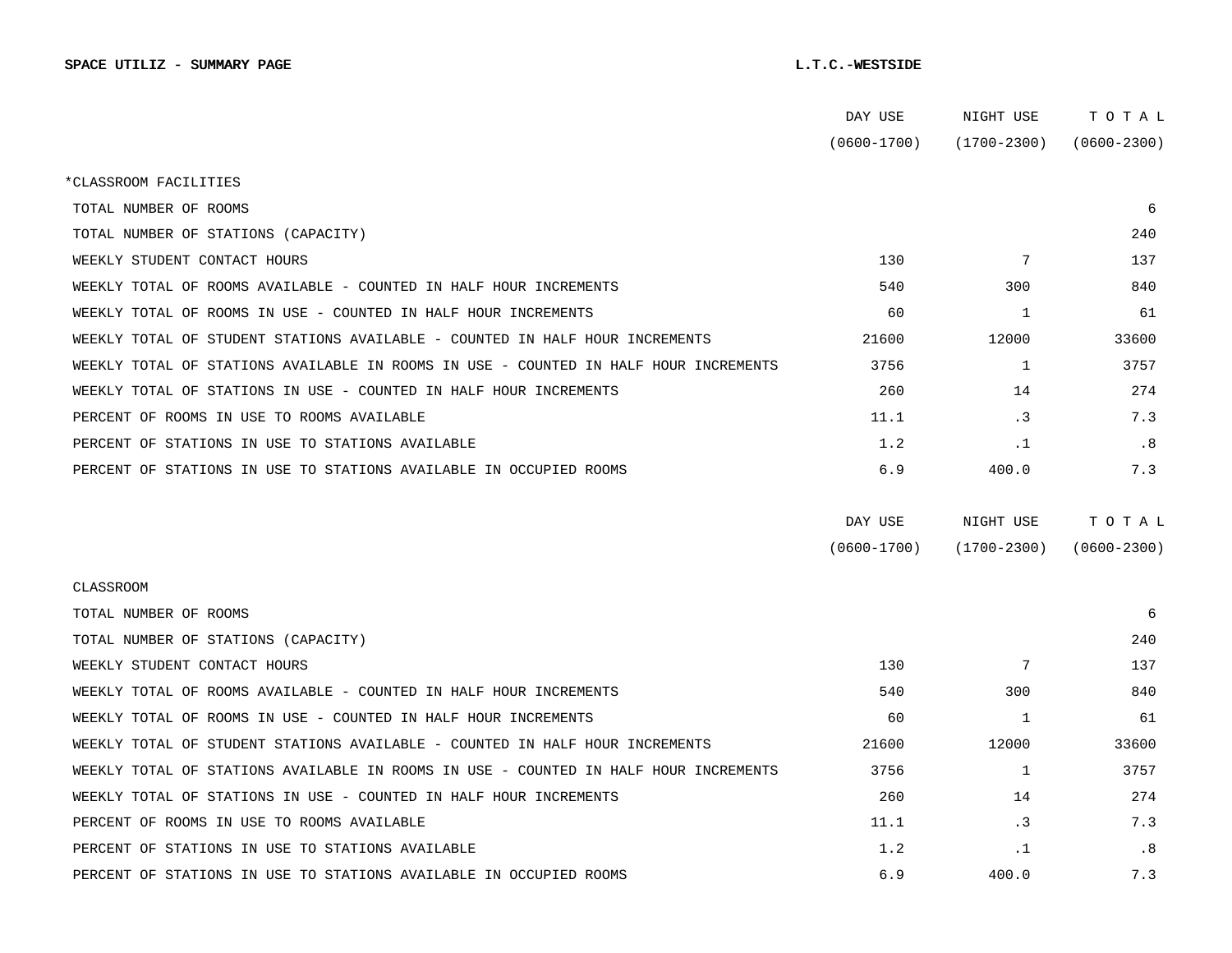|                                                                                      | DAY USE         | NIGHT USE       | TOTAL           |
|--------------------------------------------------------------------------------------|-----------------|-----------------|-----------------|
|                                                                                      | $(0600 - 1700)$ | (1700-2300)     | $(0600 - 2300)$ |
| *CLASSROOM FACILITIES                                                                |                 |                 |                 |
| TOTAL NUMBER OF ROOMS                                                                |                 |                 | 6               |
| TOTAL NUMBER OF STATIONS (CAPACITY)                                                  |                 |                 | 240             |
| WEEKLY STUDENT CONTACT HOURS                                                         | 130             | 7               | 137             |
| WEEKLY TOTAL OF ROOMS AVAILABLE - COUNTED IN HALF HOUR INCREMENTS                    | 540             | 300             | 840             |
| WEEKLY TOTAL OF ROOMS IN USE - COUNTED IN HALF HOUR INCREMENTS                       | 60              | 1               | 61              |
| WEEKLY TOTAL OF STUDENT STATIONS AVAILABLE - COUNTED IN HALF HOUR INCREMENTS         | 21600           | 12000           | 33600           |
| WEEKLY TOTAL OF STATIONS AVAILABLE IN ROOMS IN USE - COUNTED IN HALF HOUR INCREMENTS | 3756            | $\mathbf{1}$    | 3757            |
| WEEKLY TOTAL OF STATIONS IN USE - COUNTED IN HALF HOUR INCREMENTS                    | 260             | 14              | 274             |
| PERCENT OF ROOMS IN USE TO ROOMS AVAILABLE                                           | 11.1            | $\cdot$ 3       | 7.3             |
| PERCENT OF STATIONS IN USE TO STATIONS AVAILABLE                                     | 1.2             | $\cdot$ 1       | .8              |
| PERCENT OF STATIONS IN USE TO STATIONS AVAILABLE IN OCCUPIED ROOMS                   | 6.9             | 400.0           | 7.3             |
|                                                                                      |                 |                 |                 |
|                                                                                      | DAY USE         | NIGHT USE       | TOTAL           |
|                                                                                      | $(0600 - 1700)$ | $(1700 - 2300)$ | $(0600 - 2300)$ |
| <b>CLASSROOM</b>                                                                     |                 |                 |                 |
| TOTAL NUMBER OF ROOMS                                                                |                 |                 | 6               |
| TOTAL NUMBER OF STATIONS (CAPACITY)                                                  |                 |                 | 240             |
|                                                                                      |                 |                 |                 |
| WEEKLY STUDENT CONTACT HOURS                                                         | 130             | 7               | 137             |
| WEEKLY TOTAL OF ROOMS AVAILABLE - COUNTED IN HALF HOUR INCREMENTS                    | 540             | 300             | 840             |
| WEEKLY TOTAL OF ROOMS IN USE - COUNTED IN HALF HOUR INCREMENTS                       | 60              | 1               | 61              |
| WEEKLY TOTAL OF STUDENT STATIONS AVAILABLE - COUNTED IN HALF HOUR INCREMENTS         | 21600           | 12000           | 33600           |
| WEEKLY TOTAL OF STATIONS AVAILABLE IN ROOMS IN USE - COUNTED IN HALF HOUR INCREMENTS | 3756            | 1               | 3757            |
| WEEKLY TOTAL OF STATIONS IN USE - COUNTED IN HALF HOUR INCREMENTS                    | 260             | 14              | 274             |
| PERCENT OF ROOMS IN USE TO ROOMS AVAILABLE                                           | 11.1            | $\cdot$ 3       | 7.3             |
| PERCENT OF STATIONS IN USE TO STATIONS AVAILABLE                                     | 1.2             | $\cdot$ 1       | .8              |